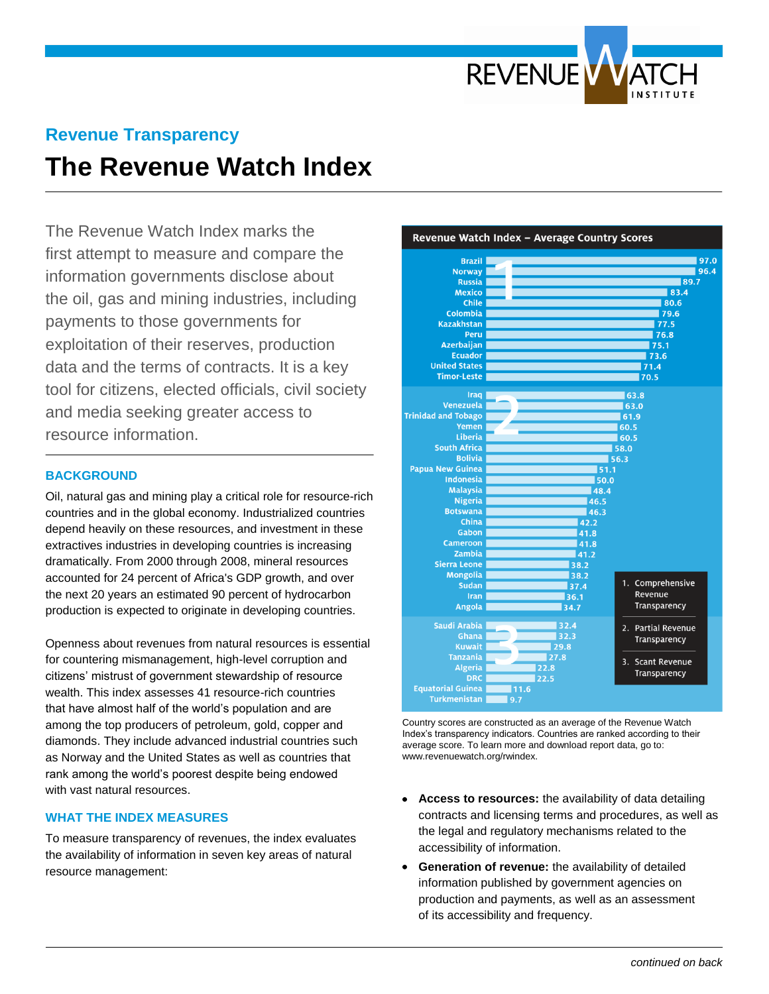

# **Revenue Transparency The Revenue Watch Index**

The Revenue Watch Index marks the first attempt to measure and compare the information governments disclose about the oil, gas and mining industries, including payments to those governments for exploitation of their reserves, production data and the terms of contracts. It is a key tool for citizens, elected officials, civil society and media seeking greater access to resource information.

#### **BACKGROUND**

Oil, natural gas and mining play a critical role for resource-rich countries and in the global economy. Industrialized countries depend heavily on these resources, and investment in these extractives industries in developing countries is increasing dramatically. From 2000 through 2008, mineral resources accounted for 24 percent of Africa's GDP growth, and over the next 20 years an estimated 90 percent of hydrocarbon production is expected to originate in developing countries.

Openness about revenues from natural resources is essential for countering mismanagement, high-level corruption and citizens' mistrust of government stewardship of resource wealth. This index assesses 41 resource-rich countries that have almost half of the world's population and are among the top producers of petroleum, gold, copper and diamonds. They include advanced industrial countries such as Norway and the United States as well as countries that rank among the world's poorest despite being endowed with vast natural resources.

## **WHAT THE INDEX MEASURES**

To measure transparency of revenues, the index evaluates the availability of information in seven key areas of natural resource management:



Country scores are constructed as an average of the Revenue Watch Index's transparency indicators. Countries are ranked according to their average score. To learn more and download report data, go to: www.revenuewatch.org/rwindex.

- **Access to resources:** the availability of data detailing contracts and licensing terms and procedures, as well as the legal and regulatory mechanisms related to the accessibility of information.
- **Generation of revenue:** the availability of detailed  $\bullet$ information published by government agencies on production and payments, as well as an assessment of its accessibility and frequency.